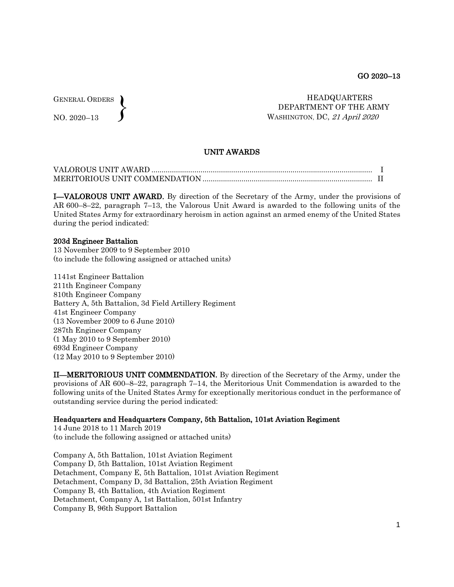GENERAL ORDERS NO. 2020–13  $\left\{ \right\}$ 

## HEADQUARTERS DEPARTMENT OF THE ARMY WASHINGTON, DC, <sup>21</sup> April 2020

# UNIT AWARDS

I—VALOROUS UNIT AWARD. By direction of the Secretary of the Army, under the provisions of AR 600–8–22, paragraph 7–13, the Valorous Unit Award is awarded to the following units of the United States Army for extraordinary heroism in action against an armed enemy of the United States during the period indicated:

#### 203d Engineer Battalion

13 November 2009 to 9 September 2010 (to include the following assigned or attached units)

1141st Engineer Battalion 211th Engineer Company 810th Engineer Company Battery A, 5th Battalion, 3d Field Artillery Regiment 41st Engineer Company (13 November 2009 to 6 June 2010) 287th Engineer Company (1 May 2010 to 9 September 2010) 693d Engineer Company (12 May 2010 to 9 September 2010)

II—MERITORIOUS UNIT COMMENDATION. By direction of the Secretary of the Army, under the provisions of AR 600–8–22, paragraph 7–14, the Meritorious Unit Commendation is awarded to the following units of the United States Army for exceptionally meritorious conduct in the performance of outstanding service during the period indicated:

### Headquarters and Headquarters Company, 5th Battalion, 101st Aviation Regiment

14 June 2018 to 11 March 2019 (to include the following assigned or attached units)

Company A, 5th Battalion, 101st Aviation Regiment Company D, 5th Battalion, 101st Aviation Regiment Detachment, Company E, 5th Battalion, 101st Aviation Regiment Detachment, Company D, 3d Battalion, 25th Aviation Regiment Company B, 4th Battalion, 4th Aviation Regiment Detachment, Company A, 1st Battalion, 501st Infantry Company B, 96th Support Battalion